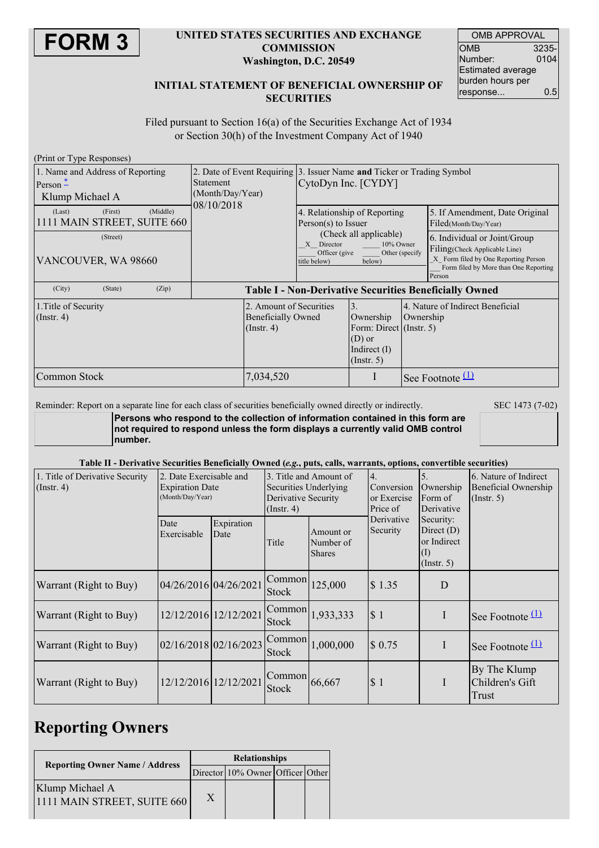

### **UNITED STATES SECURITIES AND EXCHANGE COMMISSION Washington, D.C. 20549**

| <b>OMB APPROVAL</b>      |       |  |  |  |  |
|--------------------------|-------|--|--|--|--|
| OMB                      | 3235- |  |  |  |  |
| Number:                  | 0104  |  |  |  |  |
| <b>Estimated average</b> |       |  |  |  |  |
| burden hours per         |       |  |  |  |  |
| response                 | 0.5   |  |  |  |  |

### **INITIAL STATEMENT OF BENEFICIAL OWNERSHIP OF SECURITIES**

Filed pursuant to Section 16(a) of the Securities Exchange Act of 1934 or Section 30(h) of the Investment Company Act of 1940

| (Print or Type Responses)                                                            |                                      |                                                                                                                                                                         |  |                                               |                                                                                                                                                          |
|--------------------------------------------------------------------------------------|--------------------------------------|-------------------------------------------------------------------------------------------------------------------------------------------------------------------------|--|-----------------------------------------------|----------------------------------------------------------------------------------------------------------------------------------------------------------|
| 1. Name and Address of Reporting<br>$Person -$<br>Klump Michael A                    | <b>Statement</b><br>(Month/Day/Year) | 2. Date of Event Requiring 3. Issuer Name and Ticker or Trading Symbol<br>CytoDyn Inc. [CYDY]                                                                           |  |                                               |                                                                                                                                                          |
| (Middle)<br>(First)<br>(Last)<br>1111 MAIN STREET, SUITE 660                         | 08/10/2018                           | 4. Relationship of Reporting<br>$Person(s)$ to Issuer<br>(Check all applicable)<br>X Director<br>10% Owner<br>Other (specify<br>Officer (give<br>title below)<br>below) |  |                                               | 5. If Amendment, Date Original<br>Filed(Month/Day/Year)                                                                                                  |
| (Street)<br>VANCOUVER, WA 98660                                                      |                                      |                                                                                                                                                                         |  |                                               | 6. Individual or Joint/Group<br>Filing(Check Applicable Line)<br>X Form filed by One Reporting Person<br>Form filed by More than One Reporting<br>Person |
| (City)<br>(State)<br>(Zip)                                                           |                                      |                                                                                                                                                                         |  |                                               | <b>Table I - Non-Derivative Securities Beneficially Owned</b>                                                                                            |
| 1. Title of Security<br><b>Beneficially Owned</b><br>$($ Instr. 4 $)$<br>(Insert. 4) |                                      | 2. Amount of Securities<br>3.<br>Ownership<br>Form: Direct (Instr. 5)<br>$(D)$ or<br>Indirect $(I)$<br>(Insert. 5)                                                      |  | 4. Nature of Indirect Beneficial<br>Ownership |                                                                                                                                                          |
| Common Stock                                                                         | 7,034,520                            |                                                                                                                                                                         |  |                                               | See Footnote $(1)$                                                                                                                                       |

Reminder: Report on a separate line for each class of securities beneficially owned directly or indirectly. SEC 1473 (7-02)

**Persons who respond to the collection of information contained in this form are not required to respond unless the form displays a currently valid OMB control number.**

### Table II - Derivative Securities Beneficially Owned (e.g., puts, calls, warrants, options, convertible securities)

| 1. Title of Derivative Security<br>$($ Instr. 4 $)$ | 2. Date Exercisable and<br><b>Expiration Date</b><br>(Month/Day/Year) |                    | Securities Underlying<br>Derivative Security<br>$($ Instr. 4 $)$ | 3. Title and Amount of                  | $\overline{4}$ .<br>Conversion<br>or Exercise<br>Price of | 5.<br>Ownership<br>Form of<br>Derivative                            | 6. Nature of Indirect<br>Beneficial Ownership<br>$($ Instr. 5 $)$ |
|-----------------------------------------------------|-----------------------------------------------------------------------|--------------------|------------------------------------------------------------------|-----------------------------------------|-----------------------------------------------------------|---------------------------------------------------------------------|-------------------------------------------------------------------|
|                                                     | Date<br>Exercisable                                                   | Expiration<br>Date | Title                                                            | Amount or<br>Number of<br><b>Shares</b> | Derivative<br>Security                                    | Security:<br>Direct $(D)$<br>or Indirect<br>$\rm(I)$<br>(Insert. 5) |                                                                   |
| Warrant (Right to Buy)                              | 04/26/2016 04/26/2021                                                 |                    | Common<br><b>Stock</b>                                           | 125,000                                 | \$1.35                                                    | D                                                                   |                                                                   |
| Warrant (Right to Buy)                              | 12/12/2016 12/12/2021                                                 |                    | Common<br><b>Stock</b>                                           | 1,933,333                               | \$1                                                       | I                                                                   | See Footnote $(1)$                                                |
| Warrant (Right to Buy)                              | 02/16/2018 02/16/2023                                                 |                    | Common<br><b>Stock</b>                                           | 1,000,000                               | \$0.75                                                    | I                                                                   | See Footnote $(1)$                                                |
| Warrant (Right to Buy)                              | 12/12/2016 12/12/2021                                                 |                    | Common<br><b>Stock</b>                                           | 66,667                                  | \$1                                                       | I                                                                   | By The Klump<br>Children's Gift<br>Trust                          |

## **Reporting Owners**

| <b>Reporting Owner Name / Address</b>          | <b>Relationships</b> |                                  |  |  |  |  |
|------------------------------------------------|----------------------|----------------------------------|--|--|--|--|
|                                                |                      | Director 10% Owner Officer Other |  |  |  |  |
| Klump Michael A<br>1111 MAIN STREET, SUITE 660 |                      |                                  |  |  |  |  |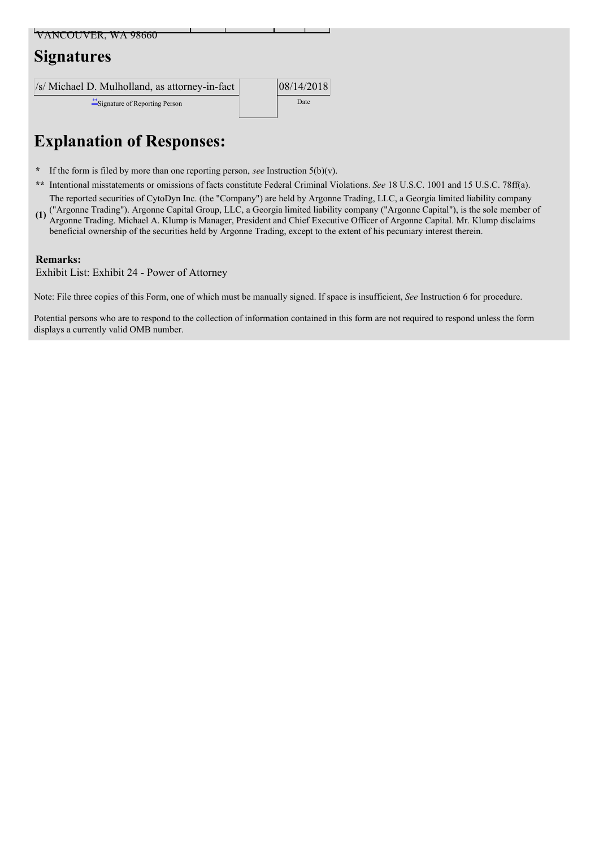| VANCOUVER, WA 98660                            |            |  |
|------------------------------------------------|------------|--|
| <b>Signatures</b>                              |            |  |
|                                                |            |  |
| /s/ Michael D. Mulholland, as attorney-in-fact | 08/14/2018 |  |
| ** Signature of Reporting Person               | Date       |  |

# **Explanation of Responses:**

- **\*** If the form is filed by more than one reporting person, *see* Instruction 5(b)(v).
- **\*\*** Intentional misstatements or omissions of facts constitute Federal Criminal Violations. *See* 18 U.S.C. 1001 and 15 U.S.C. 78ff(a).

**(1)** ("Argonne Trading"). Argonne Capital Group, LLC, a Georgia limited liability company ("Argonne Capital"), is the sole member of The reported securities of CytoDyn Inc. (the "Company") are held by Argonne Trading, LLC, a Georgia limited liability company Argonne Trading. Michael A. Klump is Manager, President and Chief Executive Officer of Argonne Capital. Mr. Klump disclaims beneficial ownership of the securities held by Argonne Trading, except to the extent of his pecuniary interest therein.

### **Remarks:**

Exhibit List: Exhibit 24 - Power of Attorney

Note: File three copies of this Form, one of which must be manually signed. If space is insufficient, *See* Instruction 6 for procedure.

Potential persons who are to respond to the collection of information contained in this form are not required to respond unless the form displays a currently valid OMB number.